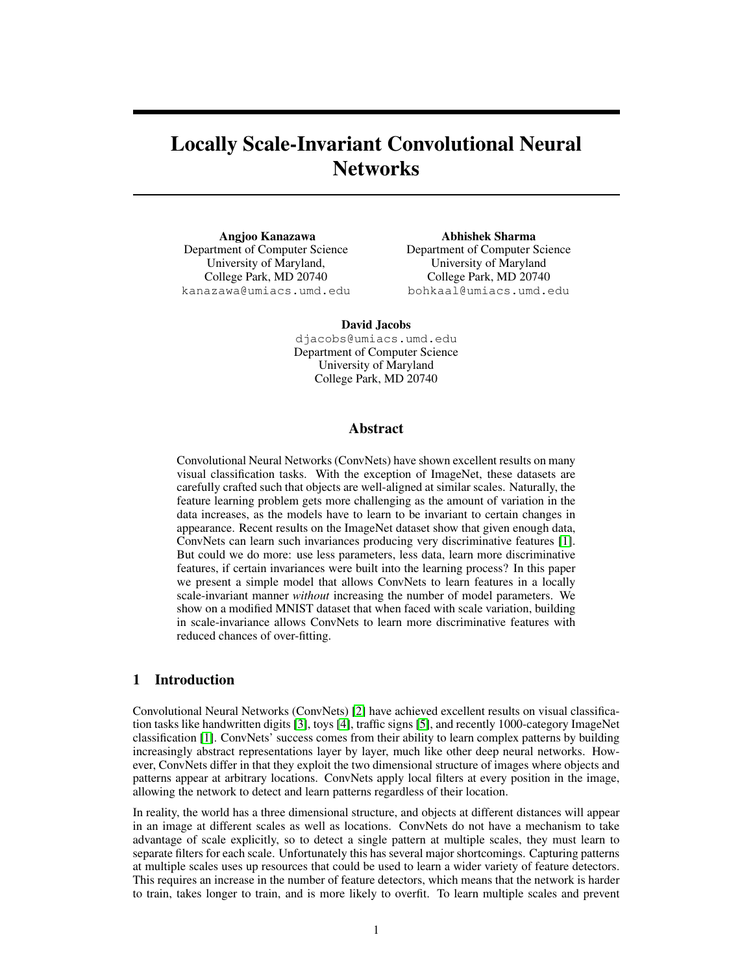# Locally Scale-Invariant Convolutional Neural **Networks**

Angjoo Kanazawa Department of Computer Science University of Maryland, College Park, MD 20740 kanazawa@umiacs.umd.edu

Abhishek Sharma Department of Computer Science University of Maryland College Park, MD 20740 bohkaal@umiacs.umd.edu

David Jacobs

djacobs@umiacs.umd.edu Department of Computer Science University of Maryland College Park, MD 20740

## Abstract

Convolutional Neural Networks (ConvNets) have shown excellent results on many visual classification tasks. With the exception of ImageNet, these datasets are carefully crafted such that objects are well-aligned at similar scales. Naturally, the feature learning problem gets more challenging as the amount of variation in the data increases, as the models have to learn to be invariant to certain changes in appearance. Recent results on the ImageNet dataset show that given enough data, ConvNets can learn such invariances producing very discriminative features [\[1\]](#page-8-0). But could we do more: use less parameters, less data, learn more discriminative features, if certain invariances were built into the learning process? In this paper we present a simple model that allows ConvNets to learn features in a locally scale-invariant manner *without* increasing the number of model parameters. We show on a modified MNIST dataset that when faced with scale variation, building in scale-invariance allows ConvNets to learn more discriminative features with reduced chances of over-fitting.

## 1 Introduction

Convolutional Neural Networks (ConvNets) [\[2\]](#page-8-1) have achieved excellent results on visual classification tasks like handwritten digits [\[3\]](#page-8-2), toys [\[4\]](#page-8-3), traffic signs [\[5\]](#page-8-4), and recently 1000-category ImageNet classification [\[1\]](#page-8-0). ConvNets' success comes from their ability to learn complex patterns by building increasingly abstract representations layer by layer, much like other deep neural networks. However, ConvNets differ in that they exploit the two dimensional structure of images where objects and patterns appear at arbitrary locations. ConvNets apply local filters at every position in the image, allowing the network to detect and learn patterns regardless of their location.

In reality, the world has a three dimensional structure, and objects at different distances will appear in an image at different scales as well as locations. ConvNets do not have a mechanism to take advantage of scale explicitly, so to detect a single pattern at multiple scales, they must learn to separate filters for each scale. Unfortunately this has several major shortcomings. Capturing patterns at multiple scales uses up resources that could be used to learn a wider variety of feature detectors. This requires an increase in the number of feature detectors, which means that the network is harder to train, takes longer to train, and is more likely to overfit. To learn multiple scales and prevent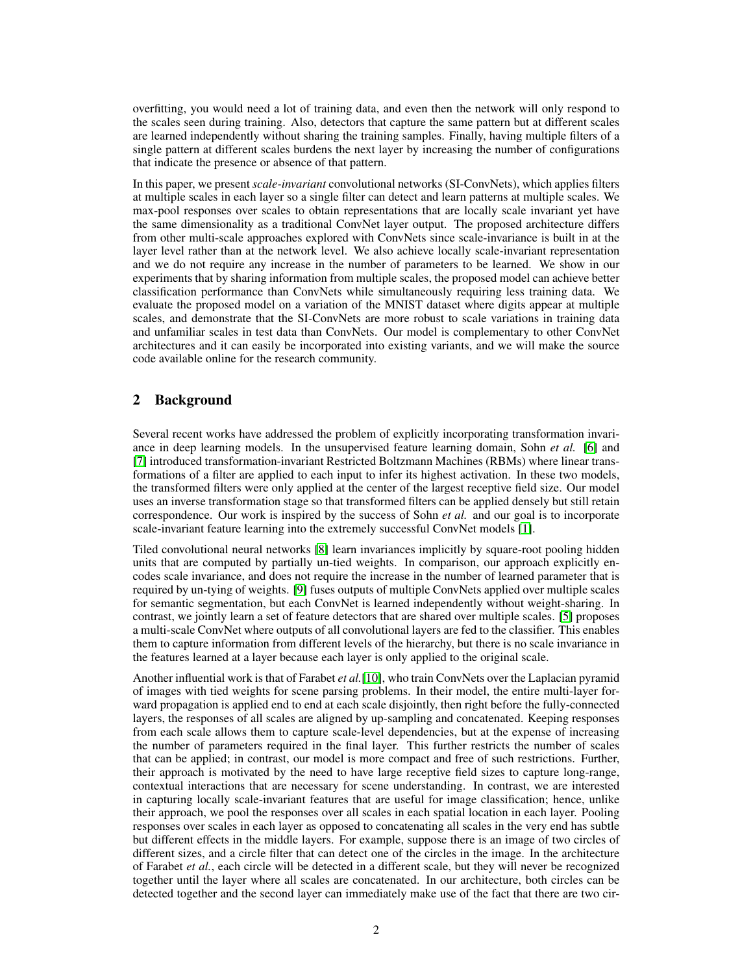overfitting, you would need a lot of training data, and even then the network will only respond to the scales seen during training. Also, detectors that capture the same pattern but at different scales are learned independently without sharing the training samples. Finally, having multiple filters of a single pattern at different scales burdens the next layer by increasing the number of configurations that indicate the presence or absence of that pattern.

In this paper, we present *scale-invariant* convolutional networks (SI-ConvNets), which applies filters at multiple scales in each layer so a single filter can detect and learn patterns at multiple scales. We max-pool responses over scales to obtain representations that are locally scale invariant yet have the same dimensionality as a traditional ConvNet layer output. The proposed architecture differs from other multi-scale approaches explored with ConvNets since scale-invariance is built in at the layer level rather than at the network level. We also achieve locally scale-invariant representation and we do not require any increase in the number of parameters to be learned. We show in our experiments that by sharing information from multiple scales, the proposed model can achieve better classification performance than ConvNets while simultaneously requiring less training data. We evaluate the proposed model on a variation of the MNIST dataset where digits appear at multiple scales, and demonstrate that the SI-ConvNets are more robust to scale variations in training data and unfamiliar scales in test data than ConvNets. Our model is complementary to other ConvNet architectures and it can easily be incorporated into existing variants, and we will make the source code available online for the research community.

# 2 Background

Several recent works have addressed the problem of explicitly incorporating transformation invariance in deep learning models. In the unsupervised feature learning domain, Sohn *et al.* [\[6\]](#page-8-5) and [\[7\]](#page-8-6) introduced transformation-invariant Restricted Boltzmann Machines (RBMs) where linear transformations of a filter are applied to each input to infer its highest activation. In these two models, the transformed filters were only applied at the center of the largest receptive field size. Our model uses an inverse transformation stage so that transformed filters can be applied densely but still retain correspondence. Our work is inspired by the success of Sohn *et al.* and our goal is to incorporate scale-invariant feature learning into the extremely successful ConvNet models [\[1\]](#page-8-0).

Tiled convolutional neural networks [\[8\]](#page-8-7) learn invariances implicitly by square-root pooling hidden units that are computed by partially un-tied weights. In comparison, our approach explicitly encodes scale invariance, and does not require the increase in the number of learned parameter that is required by un-tying of weights. [\[9\]](#page-8-8) fuses outputs of multiple ConvNets applied over multiple scales for semantic segmentation, but each ConvNet is learned independently without weight-sharing. In contrast, we jointly learn a set of feature detectors that are shared over multiple scales. [\[5\]](#page-8-4) proposes a multi-scale ConvNet where outputs of all convolutional layers are fed to the classifier. This enables them to capture information from different levels of the hierarchy, but there is no scale invariance in the features learned at a layer because each layer is only applied to the original scale.

Another influential work is that of Farabet *et al.*[\[10\]](#page-8-9), who train ConvNets over the Laplacian pyramid of images with tied weights for scene parsing problems. In their model, the entire multi-layer forward propagation is applied end to end at each scale disjointly, then right before the fully-connected layers, the responses of all scales are aligned by up-sampling and concatenated. Keeping responses from each scale allows them to capture scale-level dependencies, but at the expense of increasing the number of parameters required in the final layer. This further restricts the number of scales that can be applied; in contrast, our model is more compact and free of such restrictions. Further, their approach is motivated by the need to have large receptive field sizes to capture long-range, contextual interactions that are necessary for scene understanding. In contrast, we are interested in capturing locally scale-invariant features that are useful for image classification; hence, unlike their approach, we pool the responses over all scales in each spatial location in each layer. Pooling responses over scales in each layer as opposed to concatenating all scales in the very end has subtle but different effects in the middle layers. For example, suppose there is an image of two circles of different sizes, and a circle filter that can detect one of the circles in the image. In the architecture of Farabet *et al.*, each circle will be detected in a different scale, but they will never be recognized together until the layer where all scales are concatenated. In our architecture, both circles can be detected together and the second layer can immediately make use of the fact that there are two cir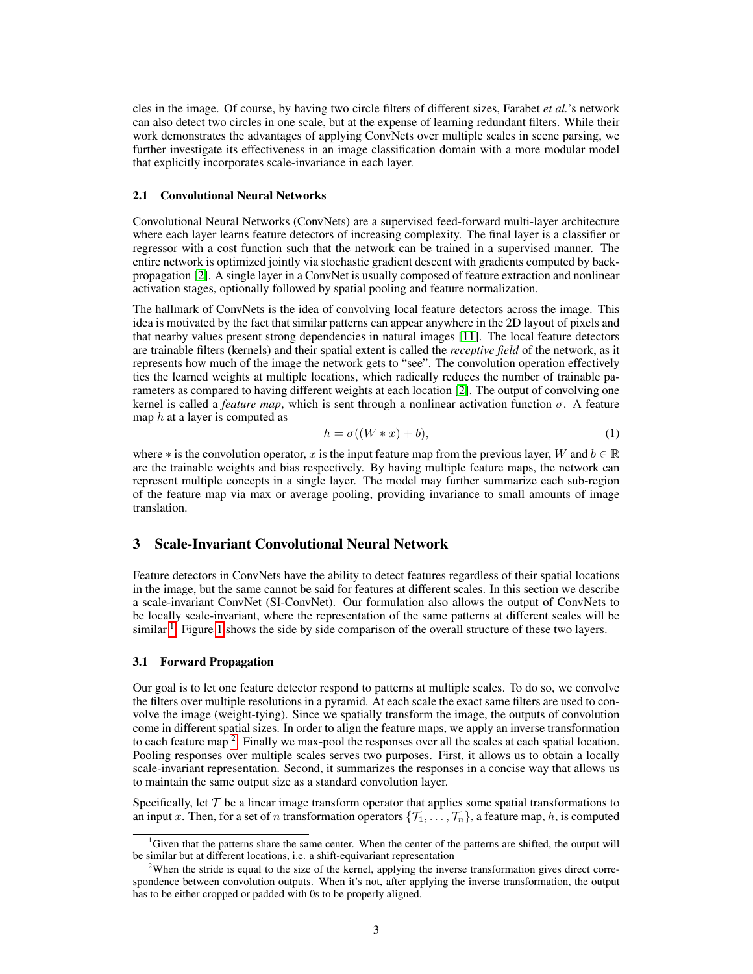cles in the image. Of course, by having two circle filters of different sizes, Farabet *et al.*'s network can also detect two circles in one scale, but at the expense of learning redundant filters. While their work demonstrates the advantages of applying ConvNets over multiple scales in scene parsing, we further investigate its effectiveness in an image classification domain with a more modular model that explicitly incorporates scale-invariance in each layer.

## 2.1 Convolutional Neural Networks

Convolutional Neural Networks (ConvNets) are a supervised feed-forward multi-layer architecture where each layer learns feature detectors of increasing complexity. The final layer is a classifier or regressor with a cost function such that the network can be trained in a supervised manner. The entire network is optimized jointly via stochastic gradient descent with gradients computed by backpropagation [\[2\]](#page-8-1). A single layer in a ConvNet is usually composed of feature extraction and nonlinear activation stages, optionally followed by spatial pooling and feature normalization.

The hallmark of ConvNets is the idea of convolving local feature detectors across the image. This idea is motivated by the fact that similar patterns can appear anywhere in the 2D layout of pixels and that nearby values present strong dependencies in natural images [\[11\]](#page-8-10). The local feature detectors are trainable filters (kernels) and their spatial extent is called the *receptive field* of the network, as it represents how much of the image the network gets to "see". The convolution operation effectively ties the learned weights at multiple locations, which radically reduces the number of trainable parameters as compared to having different weights at each location [\[2\]](#page-8-1). The output of convolving one kernel is called a *feature map*, which is sent through a nonlinear activation function σ. A feature map  $h$  at a layer is computed as

$$
h = \sigma((W * x) + b),\tag{1}
$$

where  $*$  is the convolution operator, x is the input feature map from the previous layer, W and  $b \in \mathbb{R}$ are the trainable weights and bias respectively. By having multiple feature maps, the network can represent multiple concepts in a single layer. The model may further summarize each sub-region of the feature map via max or average pooling, providing invariance to small amounts of image translation.

## 3 Scale-Invariant Convolutional Neural Network

Feature detectors in ConvNets have the ability to detect features regardless of their spatial locations in the image, but the same cannot be said for features at different scales. In this section we describe a scale-invariant ConvNet (SI-ConvNet). Our formulation also allows the output of ConvNets to be locally scale-invariant, where the representation of the same patterns at different scales will be similar  $\frac{1}{2}$  $\frac{1}{2}$  $\frac{1}{2}$ . Figure [1](#page-3-0) shows the side by side comparison of the overall structure of these two layers.

#### <span id="page-2-2"></span>3.1 Forward Propagation

Our goal is to let one feature detector respond to patterns at multiple scales. To do so, we convolve the filters over multiple resolutions in a pyramid. At each scale the exact same filters are used to convolve the image (weight-tying). Since we spatially transform the image, the outputs of convolution come in different spatial sizes. In order to align the feature maps, we apply an inverse transformation to each feature map  $2$ . Finally we max-pool the responses over all the scales at each spatial location. Pooling responses over multiple scales serves two purposes. First, it allows us to obtain a locally scale-invariant representation. Second, it summarizes the responses in a concise way that allows us to maintain the same output size as a standard convolution layer.

Specifically, let  $\mathcal T$  be a linear image transform operator that applies some spatial transformations to an input x. Then, for a set of n transformation operators  $\{\mathcal{T}_1, \ldots, \mathcal{T}_n\}$ , a feature map, h, is computed

<span id="page-2-0"></span><sup>&</sup>lt;sup>1</sup>Given that the patterns share the same center. When the center of the patterns are shifted, the output will be similar but at different locations, i.e. a shift-equivariant representation

<span id="page-2-1"></span><sup>&</sup>lt;sup>2</sup>When the stride is equal to the size of the kernel, applying the inverse transformation gives direct correspondence between convolution outputs. When it's not, after applying the inverse transformation, the output has to be either cropped or padded with 0s to be properly aligned.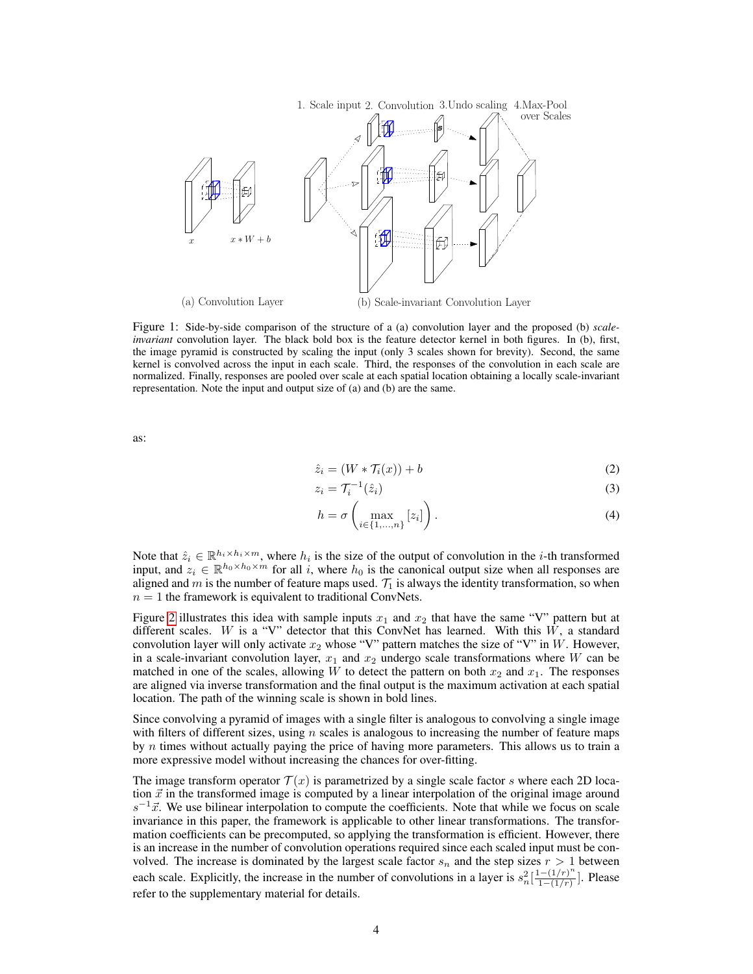<span id="page-3-0"></span>

Figure 1: Side-by-side comparison of the structure of a (a) convolution layer and the proposed (b) *scaleinvariant* convolution layer. The black bold box is the feature detector kernel in both figures. In (b), first, the image pyramid is constructed by scaling the input (only 3 scales shown for brevity). Second, the same kernel is convolved across the input in each scale. Third, the responses of the convolution in each scale are normalized. Finally, responses are pooled over scale at each spatial location obtaining a locally scale-invariant representation. Note the input and output size of (a) and (b) are the same.

as:

$$
\hat{z}_i = (W * \mathcal{T}_i(x)) + b \tag{2}
$$

$$
z_i = \mathcal{T}_i^{-1}(\hat{z}_i) \tag{3}
$$

$$
h = \sigma\left(\max_{i \in \{1, \dots, n\}} [z_i]\right). \tag{4}
$$

Note that  $\hat{z}_i \in \mathbb{R}^{h_i \times h_i \times m}$ , where  $h_i$  is the size of the output of convolution in the *i*-th transformed input, and  $z_i \in \mathbb{R}^{h_0 \times h_0 \times m}$  for all i, where  $h_0$  is the canonical output size when all responses are aligned and m is the number of feature maps used.  $\mathcal{T}_1$  is always the identity transformation, so when  $n = 1$  the framework is equivalent to traditional ConvNets.

Figure [2](#page-4-0) illustrates this idea with sample inputs  $x_1$  and  $x_2$  that have the same "V" pattern but at different scales. W is a "V" detector that this ConvNet has learned. With this  $\hat{W}$ , a standard convolution layer will only activate  $x_2$  whose "V" pattern matches the size of "V" in W. However, in a scale-invariant convolution layer,  $x_1$  and  $x_2$  undergo scale transformations where W can be matched in one of the scales, allowing W to detect the pattern on both  $x_2$  and  $x_1$ . The responses are aligned via inverse transformation and the final output is the maximum activation at each spatial location. The path of the winning scale is shown in bold lines.

Since convolving a pyramid of images with a single filter is analogous to convolving a single image with filters of different sizes, using n scales is analogous to increasing the number of feature maps by  $n$  times without actually paying the price of having more parameters. This allows us to train a more expressive model without increasing the chances for over-fitting.

The image transform operator  $\mathcal{T}(x)$  is parametrized by a single scale factor s where each 2D location  $\vec{x}$  in the transformed image is computed by a linear interpolation of the original image around  $s^{-1}\vec{x}$ . We use bilinear interpolation to compute the coefficients. Note that while we focus on scale invariance in this paper, the framework is applicable to other linear transformations. The transformation coefficients can be precomputed, so applying the transformation is efficient. However, there is an increase in the number of convolution operations required since each scaled input must be convolved. The increase is dominated by the largest scale factor  $s_n$  and the step sizes  $r > 1$  between each scale. Explicitly, the increase in the number of convolutions in a layer is  $s_n^2\left[\frac{1-(1/r)^n}{1-(1/r)}\right]$  $\frac{(-1/r)^n}{1-(1/r)}$ ]. Please refer to the supplementary material for details.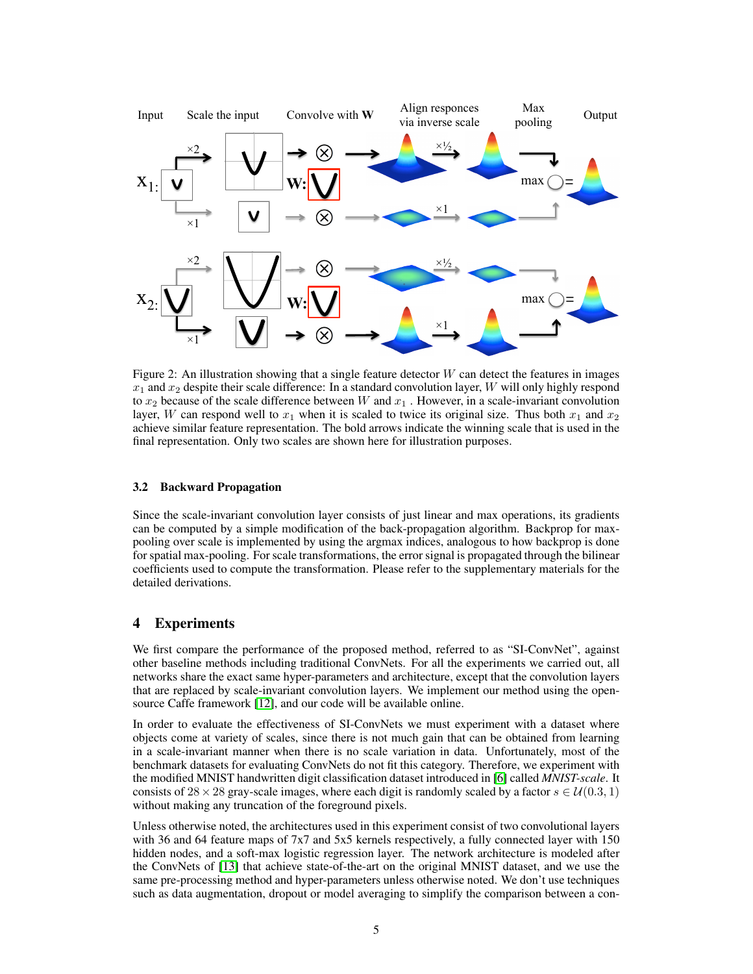<span id="page-4-0"></span>

Figure 2: An illustration showing that a single feature detector  $W$  can detect the features in images  $x_1$  and  $x_2$  despite their scale difference: In a standard convolution layer, W will only highly respond to  $x_2$  because of the scale difference between W and  $x_1$ . However, in a scale-invariant convolution layer, W can respond well to  $x_1$  when it is scaled to twice its original size. Thus both  $x_1$  and  $x_2$ achieve similar feature representation. The bold arrows indicate the winning scale that is used in the final representation. Only two scales are shown here for illustration purposes.

## 3.2 Backward Propagation

Since the scale-invariant convolution layer consists of just linear and max operations, its gradients can be computed by a simple modification of the back-propagation algorithm. Backprop for maxpooling over scale is implemented by using the argmax indices, analogous to how backprop is done for spatial max-pooling. For scale transformations, the error signal is propagated through the bilinear coefficients used to compute the transformation. Please refer to the supplementary materials for the detailed derivations.

# 4 Experiments

We first compare the performance of the proposed method, referred to as "SI-ConvNet", against other baseline methods including traditional ConvNets. For all the experiments we carried out, all networks share the exact same hyper-parameters and architecture, except that the convolution layers that are replaced by scale-invariant convolution layers. We implement our method using the opensource Caffe framework [\[12\]](#page-8-11), and our code will be available online.

In order to evaluate the effectiveness of SI-ConvNets we must experiment with a dataset where objects come at variety of scales, since there is not much gain that can be obtained from learning in a scale-invariant manner when there is no scale variation in data. Unfortunately, most of the benchmark datasets for evaluating ConvNets do not fit this category. Therefore, we experiment with the modified MNIST handwritten digit classification dataset introduced in [\[6\]](#page-8-5) called *MNIST-scale*. It consists of 28 × 28 gray-scale images, where each digit is randomly scaled by a factor  $s \in \mathcal{U}(0.3, 1)$ without making any truncation of the foreground pixels.

Unless otherwise noted, the architectures used in this experiment consist of two convolutional layers with 36 and 64 feature maps of 7x7 and 5x5 kernels respectively, a fully connected layer with 150 hidden nodes, and a soft-max logistic regression layer. The network architecture is modeled after the ConvNets of [\[13\]](#page-8-12) that achieve state-of-the-art on the original MNIST dataset, and we use the same pre-processing method and hyper-parameters unless otherwise noted. We don't use techniques such as data augmentation, dropout or model averaging to simplify the comparison between a con-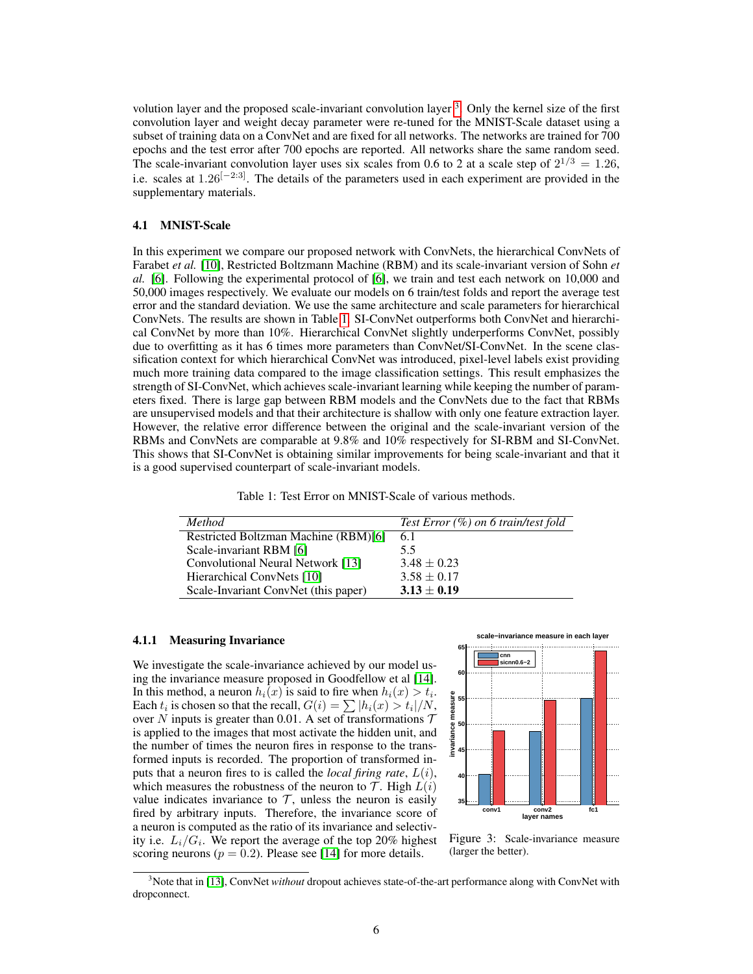volution layer and the proposed scale-invariant convolution layer <sup>[3](#page-5-0)</sup>. Only the kernel size of the first convolution layer and weight decay parameter were re-tuned for the MNIST-Scale dataset using a subset of training data on a ConvNet and are fixed for all networks. The networks are trained for 700 epochs and the test error after 700 epochs are reported. All networks share the same random seed. The scale-invariant convolution layer uses six scales from 0.6 to 2 at a scale step of  $2^{1/3} = 1.26$ , i.e. scales at  $1.26[-2.3]$ . The details of the parameters used in each experiment are provided in the supplementary materials.

### 4.1 MNIST-Scale

In this experiment we compare our proposed network with ConvNets, the hierarchical ConvNets of Farabet *et al.* [\[10\]](#page-8-9), Restricted Boltzmann Machine (RBM) and its scale-invariant version of Sohn *et al.* [\[6\]](#page-8-5). Following the experimental protocol of [\[6\]](#page-8-5), we train and test each network on 10,000 and 50,000 images respectively. We evaluate our models on 6 train/test folds and report the average test error and the standard deviation. We use the same architecture and scale parameters for hierarchical ConvNets. The results are shown in Table [1.](#page-5-1) SI-ConvNet outperforms both ConvNet and hierarchical ConvNet by more than 10%. Hierarchical ConvNet slightly underperforms ConvNet, possibly due to overfitting as it has 6 times more parameters than ConvNet/SI-ConvNet. In the scene classification context for which hierarchical ConvNet was introduced, pixel-level labels exist providing much more training data compared to the image classification settings. This result emphasizes the strength of SI-ConvNet, which achieves scale-invariant learning while keeping the number of parameters fixed. There is large gap between RBM models and the ConvNets due to the fact that RBMs are unsupervised models and that their architecture is shallow with only one feature extraction layer. However, the relative error difference between the original and the scale-invariant version of the RBMs and ConvNets are comparable at 9.8% and 10% respectively for SI-RBM and SI-ConvNet. This shows that SI-ConvNet is obtaining similar improvements for being scale-invariant and that it is a good supervised counterpart of scale-invariant models.

| Table 1: Test Error on MNIST-Scale of various methods. |  |  |  |
|--------------------------------------------------------|--|--|--|
|--------------------------------------------------------|--|--|--|

<span id="page-5-1"></span>

| <b>Method</b>                        | Test Error $(\%)$ on 6 train/test fold |
|--------------------------------------|----------------------------------------|
| Restricted Boltzman Machine (RBM)[6] | 6.1                                    |
| Scale-invariant RBM [6]              | 5.5                                    |
| Convolutional Neural Network [13]    | $3.48 \pm 0.23$                        |
| Hierarchical ConvNets [10]           | $3.58 \pm 0.17$                        |
| Scale-Invariant ConvNet (this paper) | $3.13 \pm 0.19$                        |

## 4.1.1 Measuring Invariance

We investigate the scale-invariance achieved by our model using the invariance measure proposed in Goodfellow et al [\[14\]](#page-8-13). In this method, a neuron  $h_i(x)$  is said to fire when  $h_i(x) > t_i$ . Each  $t_i$  is chosen so that the recall,  $G(i) = \sum |h_i(x) > t_i|/N$ , over N inputs is greater than 0.01. A set of transformations  $T$ is applied to the images that most activate the hidden unit, and the number of times the neuron fires in response to the transformed inputs is recorded. The proportion of transformed inputs that a neuron fires to is called the *local firing rate*, L(i), which measures the robustness of the neuron to  $\mathcal T$ . High  $L(i)$ value indicates invariance to  $T$ , unless the neuron is easily fired by arbitrary inputs. Therefore, the invariance score of a neuron is computed as the ratio of its invariance and selectivity i.e.  $L_i/G_i$ . We report the average of the top 20% highest scoring neurons ( $p = 0.2$ ). Please see [\[14\]](#page-8-13) for more details.

<span id="page-5-2"></span>

Figure 3: Scale-invariance measure (larger the better).

<span id="page-5-0"></span><sup>3</sup>Note that in [\[13\]](#page-8-12), ConvNet *without* dropout achieves state-of-the-art performance along with ConvNet with dropconnect.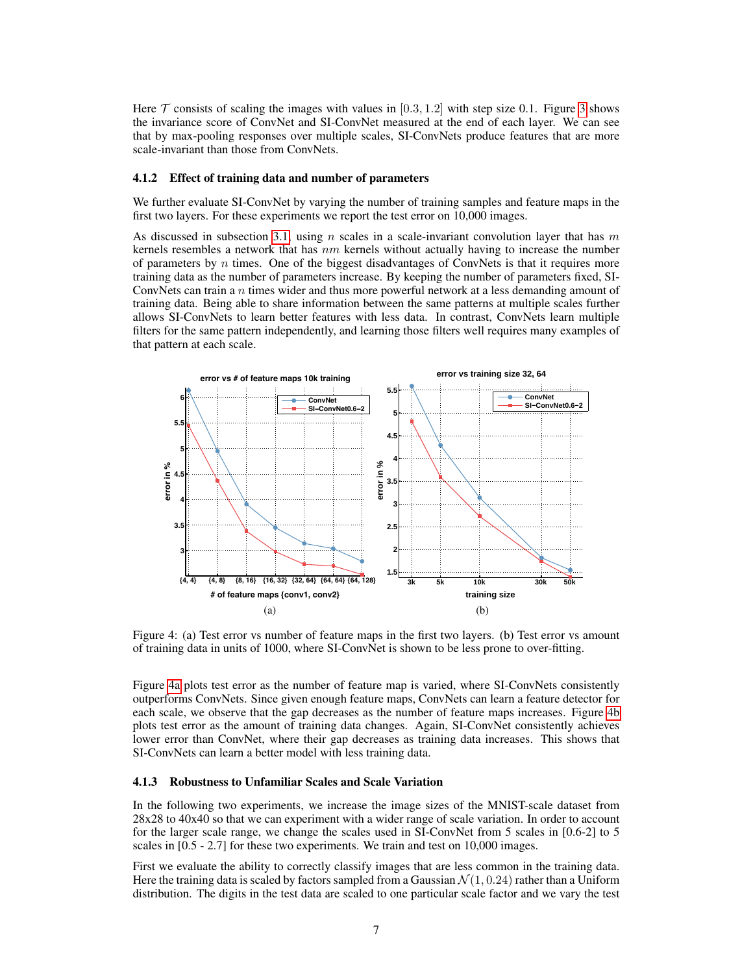Here  $\mathcal T$  consists of scaling the images with values in [0.3, 1.2] with step size 0.1. Figure [3](#page-5-2) shows the invariance score of ConvNet and SI-ConvNet measured at the end of each layer. We can see that by max-pooling responses over multiple scales, SI-ConvNets produce features that are more scale-invariant than those from ConvNets.

#### 4.1.2 Effect of training data and number of parameters

We further evaluate SI-ConvNet by varying the number of training samples and feature maps in the first two layers. For these experiments we report the test error on 10,000 images.

As discussed in subsection [3.1,](#page-2-2) using n scales in a scale-invariant convolution layer that has m kernels resembles a network that has  $nm$  kernels without actually having to increase the number of parameters by  $n$  times. One of the biggest disadvantages of ConvNets is that it requires more training data as the number of parameters increase. By keeping the number of parameters fixed, SI-ConvNets can train a  $n$  times wider and thus more powerful network at a less demanding amount of training data. Being able to share information between the same patterns at multiple scales further allows SI-ConvNets to learn better features with less data. In contrast, ConvNets learn multiple filters for the same pattern independently, and learning those filters well requires many examples of that pattern at each scale.

<span id="page-6-0"></span>

<span id="page-6-1"></span>Figure 4: (a) Test error vs number of feature maps in the first two layers. (b) Test error vs amount of training data in units of 1000, where SI-ConvNet is shown to be less prone to over-fitting.

Figure [4a](#page-6-0) plots test error as the number of feature map is varied, where SI-ConvNets consistently outperforms ConvNets. Since given enough feature maps, ConvNets can learn a feature detector for each scale, we observe that the gap decreases as the number of feature maps increases. Figure [4b](#page-6-1) plots test error as the amount of training data changes. Again, SI-ConvNet consistently achieves lower error than ConvNet, where their gap decreases as training data increases. This shows that SI-ConvNets can learn a better model with less training data.

## 4.1.3 Robustness to Unfamiliar Scales and Scale Variation

In the following two experiments, we increase the image sizes of the MNIST-scale dataset from 28x28 to 40x40 so that we can experiment with a wider range of scale variation. In order to account for the larger scale range, we change the scales used in SI-ConvNet from 5 scales in [0.6-2] to 5 scales in [0.5 - 2.7] for these two experiments. We train and test on 10,000 images.

First we evaluate the ability to correctly classify images that are less common in the training data. Here the training data is scaled by factors sampled from a Gaussian  $\mathcal{N}(1, 0.24)$  rather than a Uniform distribution. The digits in the test data are scaled to one particular scale factor and we vary the test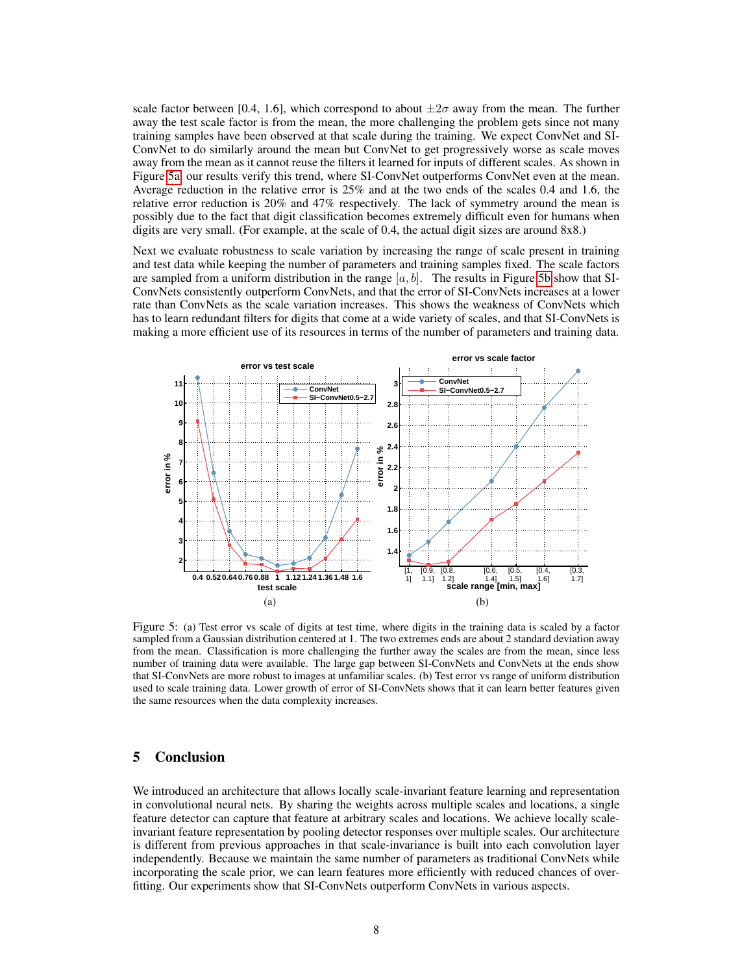scale factor between [0.4, 1.6], which correspond to about  $\pm 2\sigma$  away from the mean. The further away the test scale factor is from the mean, the more challenging the problem gets since not many training samples have been observed at that scale during the training. We expect ConvNet and SI-ConvNet to do similarly around the mean but ConvNet to get progressively worse as scale moves away from the mean as it cannot reuse the filters it learned for inputs of different scales. As shown in Figure [5a,](#page-7-0) our results verify this trend, where SI-ConvNet outperforms ConvNet even at the mean. Average reduction in the relative error is 25% and at the two ends of the scales 0.4 and 1.6, the relative error reduction is 20% and 47% respectively. The lack of symmetry around the mean is possibly due to the fact that digit classification becomes extremely difficult even for humans when digits are very small. (For example, at the scale of 0.4, the actual digit sizes are around 8x8.)

Next we evaluate robustness to scale variation by increasing the range of scale present in training and test data while keeping the number of parameters and training samples fixed. The scale factors are sampled from a uniform distribution in the range  $[a, b]$ . The results in Figure [5b](#page-7-1) show that SI-ConvNets consistently outperform ConvNets, and that the error of SI-ConvNets increases at a lower rate than ConvNets as the scale variation increases. This shows the weakness of ConvNets which has to learn redundant filters for digits that come at a wide variety of scales, and that SI-ConvNets is making a more efficient use of its resources in terms of the number of parameters and training data.

<span id="page-7-0"></span>

<span id="page-7-1"></span>Figure 5: (a) Test error vs scale of digits at test time, where digits in the training data is scaled by a factor sampled from a Gaussian distribution centered at 1. The two extremes ends are about 2 standard deviation away from the mean. Classification is more challenging the further away the scales are from the mean, since less number of training data were available. The large gap between SI-ConvNets and ConvNets at the ends show that SI-ConvNets are more robust to images at unfamiliar scales. (b) Test error vs range of uniform distribution used to scale training data. Lower growth of error of SI-ConvNets shows that it can learn better features given the same resources when the data complexity increases.

# 5 Conclusion

We introduced an architecture that allows locally scale-invariant feature learning and representation in convolutional neural nets. By sharing the weights across multiple scales and locations, a single feature detector can capture that feature at arbitrary scales and locations. We achieve locally scaleinvariant feature representation by pooling detector responses over multiple scales. Our architecture is different from previous approaches in that scale-invariance is built into each convolution layer independently. Because we maintain the same number of parameters as traditional ConvNets while incorporating the scale prior, we can learn features more efficiently with reduced chances of overfitting. Our experiments show that SI-ConvNets outperform ConvNets in various aspects.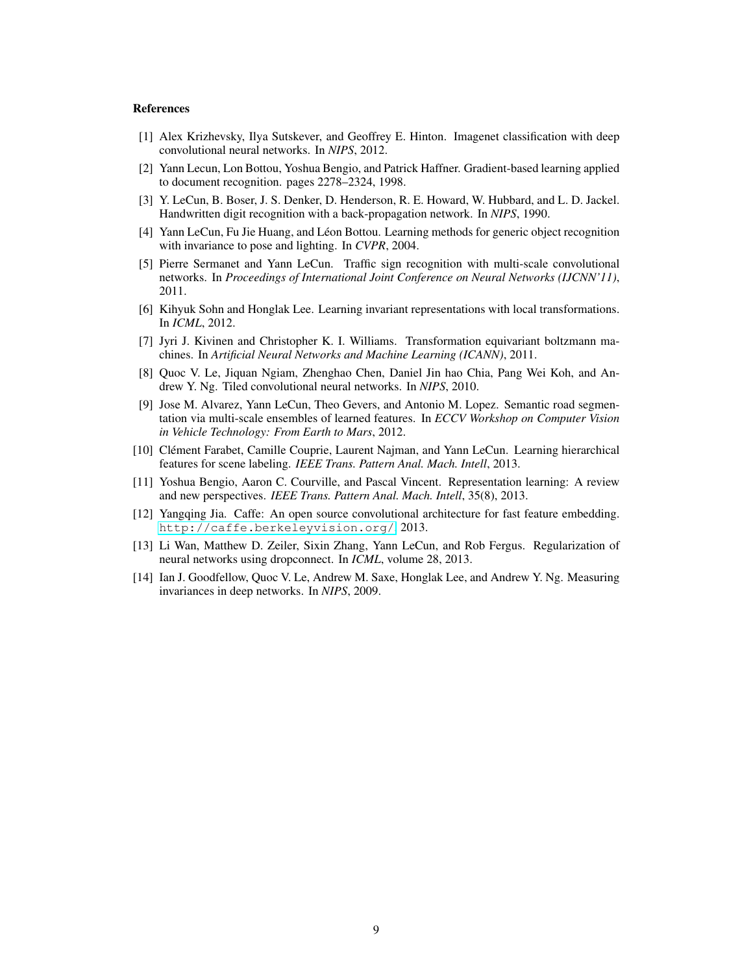#### **References**

- <span id="page-8-0"></span>[1] Alex Krizhevsky, Ilya Sutskever, and Geoffrey E. Hinton. Imagenet classification with deep convolutional neural networks. In *NIPS*, 2012.
- <span id="page-8-1"></span>[2] Yann Lecun, Lon Bottou, Yoshua Bengio, and Patrick Haffner. Gradient-based learning applied to document recognition. pages 2278–2324, 1998.
- <span id="page-8-2"></span>[3] Y. LeCun, B. Boser, J. S. Denker, D. Henderson, R. E. Howard, W. Hubbard, and L. D. Jackel. Handwritten digit recognition with a back-propagation network. In *NIPS*, 1990.
- <span id="page-8-3"></span>[4] Yann LeCun, Fu Jie Huang, and Leon Bottou. Learning methods for generic object recognition ´ with invariance to pose and lighting. In *CVPR*, 2004.
- <span id="page-8-4"></span>[5] Pierre Sermanet and Yann LeCun. Traffic sign recognition with multi-scale convolutional networks. In *Proceedings of International Joint Conference on Neural Networks (IJCNN'11)*, 2011.
- <span id="page-8-5"></span>[6] Kihyuk Sohn and Honglak Lee. Learning invariant representations with local transformations. In *ICML*, 2012.
- <span id="page-8-6"></span>[7] Jyri J. Kivinen and Christopher K. I. Williams. Transformation equivariant boltzmann machines. In *Artificial Neural Networks and Machine Learning (ICANN)*, 2011.
- <span id="page-8-7"></span>[8] Quoc V. Le, Jiquan Ngiam, Zhenghao Chen, Daniel Jin hao Chia, Pang Wei Koh, and Andrew Y. Ng. Tiled convolutional neural networks. In *NIPS*, 2010.
- <span id="page-8-8"></span>[9] Jose M. Alvarez, Yann LeCun, Theo Gevers, and Antonio M. Lopez. Semantic road segmentation via multi-scale ensembles of learned features. In *ECCV Workshop on Computer Vision in Vehicle Technology: From Earth to Mars*, 2012.
- <span id="page-8-9"></span>[10] Clément Farabet, Camille Couprie, Laurent Najman, and Yann LeCun. Learning hierarchical features for scene labeling. *IEEE Trans. Pattern Anal. Mach. Intell*, 2013.
- <span id="page-8-10"></span>[11] Yoshua Bengio, Aaron C. Courville, and Pascal Vincent. Representation learning: A review and new perspectives. *IEEE Trans. Pattern Anal. Mach. Intell*, 35(8), 2013.
- <span id="page-8-11"></span>[12] Yangqing Jia. Caffe: An open source convolutional architecture for fast feature embedding. <http://caffe.berkeleyvision.org/>, 2013.
- <span id="page-8-12"></span>[13] Li Wan, Matthew D. Zeiler, Sixin Zhang, Yann LeCun, and Rob Fergus. Regularization of neural networks using dropconnect. In *ICML*, volume 28, 2013.
- <span id="page-8-13"></span>[14] Ian J. Goodfellow, Quoc V. Le, Andrew M. Saxe, Honglak Lee, and Andrew Y. Ng. Measuring invariances in deep networks. In *NIPS*, 2009.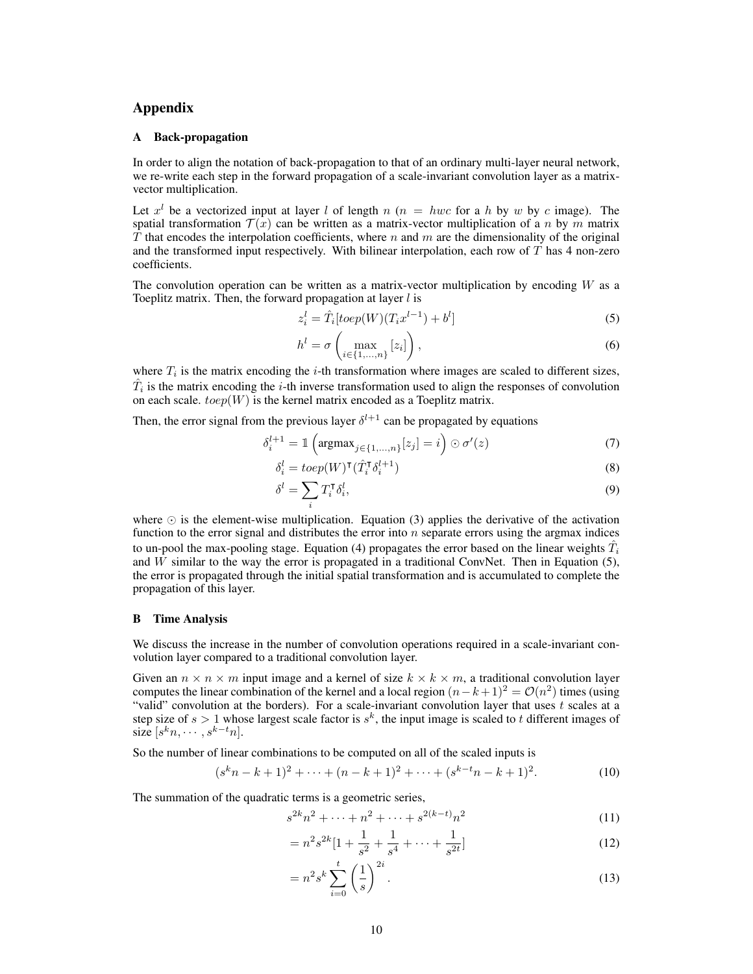# Appendix

#### A Back-propagation

In order to align the notation of back-propagation to that of an ordinary multi-layer neural network, we re-write each step in the forward propagation of a scale-invariant convolution layer as a matrixvector multiplication.

Let  $x^l$  be a vectorized input at layer l of length  $n$  ( $n = hwc$  for a h by w by c image). The spatial transformation  $\mathcal{T}(x)$  can be written as a matrix-vector multiplication of a n by m matrix T that encodes the interpolation coefficients, where  $n$  and  $m$  are the dimensionality of the original and the transformed input respectively. With bilinear interpolation, each row of  $\overline{T}$  has 4 non-zero coefficients.

The convolution operation can be written as a matrix-vector multiplication by encoding  $W$  as a Toeplitz matrix. Then, the forward propagation at layer  $l$  is

$$
z_i^l = \hat{T}_i[toep(W)(T_i x^{l-1}) + b^l]
$$
\n
$$
(5)
$$

$$
h^{l} = \sigma\left(\max_{i \in \{1, \ldots, n\}} [z_i]\right),\tag{6}
$$

where  $T_i$  is the matrix encoding the *i*-th transformation where images are scaled to different sizes,  $\hat{T}_i$  is the matrix encoding the *i*-th inverse transformation used to align the responses of convolution on each scale.  $toep(W)$  is the kernel matrix encoded as a Toeplitz matrix.

Then, the error signal from the previous layer  $\delta^{l+1}$  can be propagated by equations

$$
\delta_i^{l+1} = \mathbb{1}\left(\operatorname{argmax}_{j\in\{1,\ldots,n\}}[z_j] = i\right) \odot \sigma'(z) \tag{7}
$$

$$
\delta_i^l = \operatorname{toep}(W)^{\mathsf{T}}(\hat{T}_i^{\mathsf{T}} \delta_i^{l+1})
$$
\n(8)

$$
\delta^l = \sum_i T_i^{\mathsf{T}} \delta_i^l,\tag{9}
$$

where  $\odot$  is the element-wise multiplication. Equation (3) applies the derivative of the activation function to the error signal and distributes the error into  $n$  separate errors using the argmax indices to un-pool the max-pooling stage. Equation (4) propagates the error based on the linear weights  $\hat{T}_i$ and  $W$  similar to the way the error is propagated in a traditional ConvNet. Then in Equation (5), the error is propagated through the initial spatial transformation and is accumulated to complete the propagation of this layer.

#### B Time Analysis

We discuss the increase in the number of convolution operations required in a scale-invariant convolution layer compared to a traditional convolution layer.

Given an  $n \times n \times m$  input image and a kernel of size  $k \times k \times m$ , a traditional convolution layer computes the linear combination of the kernel and a local region  $(n-k+1)^2 = \mathcal{O}(n^2)$  times (using "valid" convolution at the borders). For a scale-invariant convolution layer that uses  $t$  scales at a step size of  $s > 1$  whose largest scale factor is  $s^k$ , the input image is scaled to t different images of size  $[s^k n, \cdots, s^{k-t} n]$ .

So the number of linear combinations to be computed on all of the scaled inputs is

$$
(skn - k + 1)2 + \dots + (n - k + 1)2 + \dots + (sk-tn - k + 1)2.
$$
 (10)

The summation of the quadratic terms is a geometric series,

$$
s^{2k}n^2 + \dots + n^2 + \dots + s^{2(k-t)}n^2 \tag{11}
$$

$$
= n^2 s^{2k} [1 + \frac{1}{s^2} + \frac{1}{s^4} + \dots + \frac{1}{s^{2t}}]
$$
 (12)

$$
= n^2 s^k \sum_{i=0}^t \left(\frac{1}{s}\right)^{2i}.
$$
 (13)